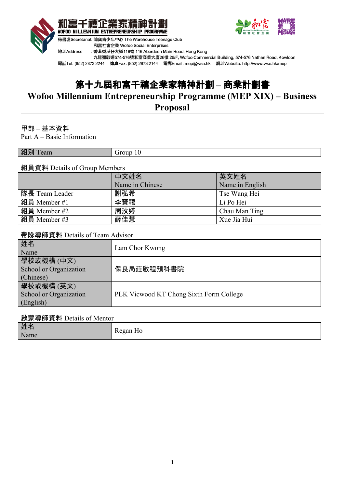



九龍彌敦道574-576號和富商業大廈26樓 26/F, Wofoo Commercial Building, 574-576 Nathan Road, Kowloon 電話Tel: (852) 2873 2244 傳真Fax: (852) 2873 2144 電郵Email: mep@wse.hk 網址Website: http://www.wse.hk/mep

# 第十九屆和富千禧企業家精神計劃 **–** 商業計劃書

# **Wofoo Millennium Entrepreneurship Programme (MEP XIX) – Business**

**Proposal**

# 甲部 – 基本資料

Part A – Basic Information

| 組<br><b>CONTRACT</b><br>лı<br>eaill |  |
|-------------------------------------|--|

# 組員資料 Details of Group Members

|                | 中文姓名            | 英文姓名            |  |
|----------------|-----------------|-----------------|--|
|                | Name in Chinese | Name in English |  |
| 隊長 Team Leader | 謝弘希             | Tse Wang Hei    |  |
| 組員 Member #1   | 李寶禧             | Li Po Hei       |  |
| 組員 Member #2   | 周汶婷             | Chau Man Ting   |  |
| 組員 Member #3   | 薛佳慧             | Xue Jia Hui     |  |

#### 帶隊導師資料 Details of Team Advisor

| 姓名<br>Name                                        | Lam Chor Kwong                          |
|---------------------------------------------------|-----------------------------------------|
| 學校或機構(中文)<br>School or Organization<br>(Chinese)  | 保良局莊啟程預科書院                              |
| 學校或機構 (英文)<br>School or Organization<br>(English) | PLK Vicwood KT Chong Sixth Form College |

# 啟蒙導師資料 Details of Mentor

|  | 姓名<br>Name | $ -$<br>$_{\odot}$ and $\Box$ |
|--|------------|-------------------------------|
|--|------------|-------------------------------|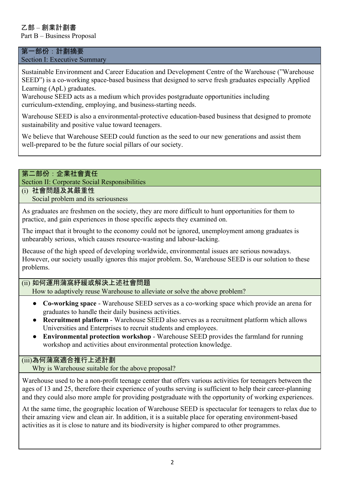# 乙部 – 創業計劃書

Part B – Business Proposal

#### 第一部份:計劃摘要 Section I: Executive Summary

Sustainable Environment and Career Education and Development Centre of the Warehouse ("Warehouse SEED") is a co-working space-based business that designed to serve fresh graduates especially Applied Learning (ApL) graduates.

Warehouse SEED acts as a medium which provides postgraduate opportunities including curriculum-extending, employing, and business-starting needs.

Warehouse SEED is also a environmental-protective education-based business that designed to promote sustainability and positive value toward teenagers.

We believe that Warehouse SEED could function as the seed to our new generations and assist them well-prepared to be the future social pillars of our society.

### 第二部份:企業社會責任

Section II: Corporate Social Responsibilities

# (i) 社會問題及其嚴重性

Social problem and its seriousness

As graduates are freshmen on the society, they are more difficult to hunt opportunities for them to practice, and gain experiences in those specific aspects they examined on.

The impact that it brought to the economy could not be ignored, unemployment among graduates is unbearably serious, which causes resource-wasting and labour-lacking.

Because of the high speed of developing worldwide, environmental issues are serious nowadays. However, our society usually ignores this major problem. So, Warehouse SEED is our solution to these problems.

(ii) 如何運用蒲窩紓緩或解決上述社會問題

How to adaptively reuse Warehouse to alleviate or solve the above problem?

- **Co-working space** Warehouse SEED serves as a co-working space which provide an arena for graduates to handle their daily business activities.
- **Recruitment platform** Warehouse SEED also serves as a recruitment platform which allows Universities and Enterprises to recruit students and employees.
- **Environmental protection workshop** Warehouse SEED provides the farmland for running workshop and activities about environmental protection knowledge.

# (iii)為何蒲窩適合推行上述計劃

Why is Warehouse suitable for the above proposal?

Warehouse used to be a non-profit teenage center that offers various activities for teenagers between the ages of 13 and 25, therefore their experience of youths serving is sufficient to help their career-planning and they could also more ample for providing postgraduate with the opportunity of working experiences.

At the same time, the geographic location of Warehouse SEED is spectacular for teenagers to relax due to their amazing view and clean air. In addition, it is a suitable place for operating environment-based activities as it is close to nature and its biodiversity is higher compared to other programmes.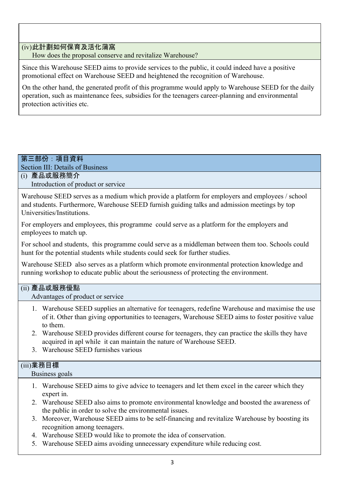(iv)此計劃如何保育及活化蒲窩

How does the proposal conserve and revitalize Warehouse?

Since this Warehouse SEED aims to provide services to the public, it could indeed have a positive promotional effect on Warehouse SEED and heightened the recognition of Warehouse.

On the other hand, the generated profit of this programme would apply to Warehouse SEED for the daily operation, such as maintenance fees, subsidies for the teenagers career-planning and environmental protection activities etc.

# 第三部份:項目資料

Section III: Details of Business

(i) 產品或服務簡介 Introduction of product or service

Warehouse SEED serves as a medium which provide a platform for employers and employees / school and students. Furthermore, Warehouse SEED furnish guiding talks and admission meetings by top Universities/Institutions.

For employers and employees, this programme could serve as a platform for the employers and employees to match up.

For school and students, this programme could serve as a middleman between them too. Schools could hunt for the potential students while students could seek for further studies.

Warehouse SEED also serves as a platform which promote environmental protection knowledge and running workshop to educate public about the seriousness of protecting the environment.

# (ii) 產品或服務優點

Advantages of product or service

- 1. Warehouse SEED supplies an alternative for teenagers, redefine Warehouse and maximise the use of it. Other than giving opportunities to teenagers, Warehouse SEED aims to foster positive value to them.
- 2. Warehouse SEED provides different course for teenagers, they can practice the skills they have acquired in apl while it can maintain the nature of Warehouse SEED.
- 3. Warehouse SEED furnishes various

# (iii)業務目標

Business goals

- 1. Warehouse SEED aims to give advice to teenagers and let them excel in the career which they expert in.
- 2. Warehouse SEED also aims to promote environmental knowledge and boosted the awareness of the public in order to solve the environmental issues.
- 3. Moreover, Warehouse SEED aims to be self-financing and revitalize Warehouse by boosting its recognition among teenagers.
- 4. Warehouse SEED would like to promote the idea of conservation.
- 5. Warehouse SEED aims avoiding unnecessary expenditure while reducing cost.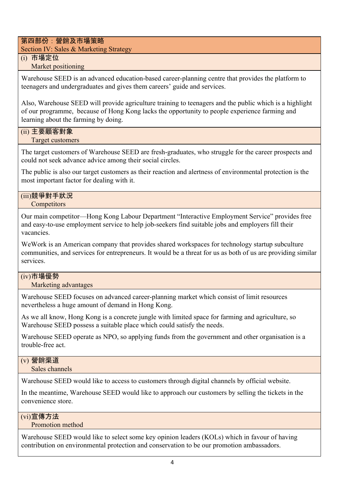第四部份:營銷及市場策略

Section IV: Sales & Marketing Strategy

# (i) 市場定位

Market positioning

Warehouse SEED is an advanced education-based career-planning centre that provides the platform to teenagers and undergraduates and gives them careers' guide and services.

Also, Warehouse SEED will provide agriculture training to teenagers and the public which is a highlight of our programme, because of Hong Kong lacks the opportunity to people experience farming and learning about the farming by doing.

#### (ii) 主要顧客對象 Target customers

The target customers of Warehouse SEED are fresh-graduates, who struggle for the career prospects and could not seek advance advice among their social circles.

The public is also our target customers as their reaction and alertness of environmental protection is the most important factor for dealing with it.

#### (iii)競爭對手狀況 **Competitors**

Our main competitor—Hong Kong Labour Department "Interactive Employment Service" provides free and easy-to-use employment service to help job-seekers find suitable jobs and employers fill their vacancies.

WeWork is an American company that provides shared workspaces for technology startup subculture communities, and services for entrepreneurs. It would be a threat for us as both of us are providing similar services.

# (iv)市場優勢

Marketing advantages

Warehouse SEED focuses on advanced career-planning market which consist of limit resources nevertheless a huge amount of demand in Hong Kong.

As we all know, Hong Kong is a concrete jungle with limited space for farming and agriculture, so Warehouse SEED possess a suitable place which could satisfy the needs.

Warehouse SEED operate as NPO, so applying funds from the government and other organisation is a trouble-free act.

# (v) 營銷渠道

Sales channels

Warehouse SEED would like to access to customers through digital channels by official website.

In the meantime, Warehouse SEED would like to approach our customers by selling the tickets in the convenience store.

# (vi)宣傳方法

Promotion method

Warehouse SEED would like to select some key opinion leaders (KOLs) which in favour of having contribution on environmental protection and conservation to be our promotion ambassadors.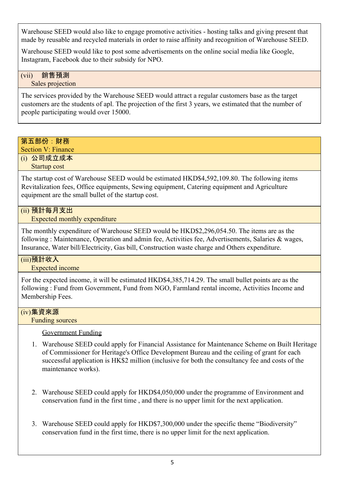Warehouse SEED would also like to engage promotive activities - hosting talks and giving present that made by reusable and recycled materials in order to raise affinity and recognition of Warehouse SEED.

Warehouse SEED would like to post some advertisements on the online social media like Google, Instagram, Facebook due to their subsidy for NPO.

#### (vii) 銷售預測 Sales projection

The services provided by the Warehouse SEED would attract a regular customers base as the target customers are the students of apl. The projection of the first 3 years, we estimated that the number of people participating would over 15000.

# 第五部份:財務

Section V: Finance

(i) 公司成立成本

Startup cost

The startup cost of Warehouse SEED would be estimated HKD\$4,592,109.80. The following items Revitalization fees, Office equipments, Sewing equipment, Catering equipment and Agriculture equipment are the small bullet of the startup cost.

# (ii) 預計每月支出

Expected monthly expenditure

The monthly expenditure of Warehouse SEED would be HKD\$2,296,054.50. The items are as the following : Maintenance, Operation and admin fee, Activities fee, Advertisements, Salaries & wages, Insurance, Water bill/Electricity, Gas bill, Construction waste charge and Others expenditure.

# (iii)預計收入

Expected income

For the expected income, it will be estimated HKD\$4,385,714.29. The small bullet points are as the following : Fund from Government, Fund from NGO, Farmland rental income, Activities Income and Membership Fees.

# (iv)集資來源

Funding sources

# Government Funding

- 1. Warehouse SEED could apply for Financial Assistance for Maintenance Scheme on Built Heritage of Commissioner for Heritage's Office Development Bureau and the ceiling of grant for each successful application is HK\$2 million (inclusive for both the consultancy fee and costs of the maintenance works).
- 2. Warehouse SEED could apply for HKD\$4,050,000 under the programme of Environment and conservation fund in the first time , and there is no upper limit for the next application.
- 3. Warehouse SEED could apply for HKD\$7,300,000 under the specific theme "Biodiversity" conservation fund in the first time, there is no upper limit for the next application.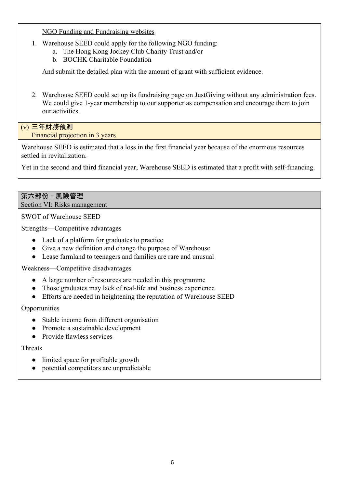NGO Funding and Fundraising websites

- 1. Warehouse SEED could apply for the following NGO funding:
	- a. The Hong Kong Jockey Club Charity Trust and/or
	- b. BOCHK Charitable Foundation

And submit the detailed plan with the amount of grant with sufficient evidence.

2. Warehouse SEED could set up its fundraising page on JustGiving without any administration fees. We could give 1-year membership to our supporter as compensation and encourage them to join our activities.

(v) 三年財務預測 Financial projection in 3 years

Warehouse SEED is estimated that a loss in the first financial year because of the enormous resources settled in revitalization.

Yet in the second and third financial year, Warehouse SEED is estimated that a profit with self-financing.

#### 第六部份:風險管理 Section VI: Risks management

SWOT of Warehouse SEED

Strengths—Competitive advantages

- Lack of a platform for graduates to practice
- Give a new definition and change the purpose of Warehouse
- Lease farmland to teenagers and families are rare and unusual

Weakness—Competitive disadvantages

- A large number of resources are needed in this programme
- Those graduates may lack of real-life and business experience
- Efforts are needed in heightening the reputation of Warehouse SEED

**Opportunities** 

- Stable income from different organisation
- Promote a sustainable development
- Provide flawless services

# Threats

- limited space for profitable growth
- potential competitors are unpredictable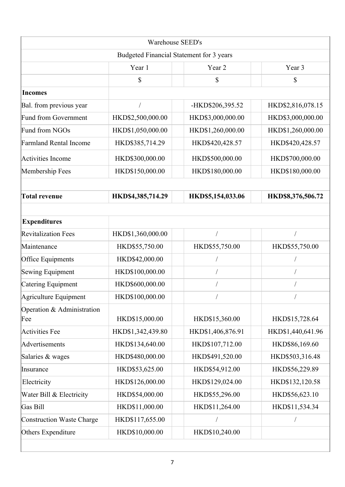| Budgeted Financial Statement for 3 years<br>Year 1<br>\$<br>HKD\$2,500,000.00<br>HKD\$1,050,000.00<br>HKD\$385,714.29<br>HKD\$300,000.00<br>HKD\$150,000.00 | Year 2<br>\$<br>-HKD\$206,395.52<br>HKD\$3,000,000.00<br>HKD\$1,260,000.00<br>HKD\$420,428.57<br>HKD\$500,000.00<br>HKD\$180,000.00                                                     | Year 3<br>\$<br>HKD\$2,816,078.15<br>HKD\$3,000,000.00<br>HKD\$1,260,000.00<br>HKD\$420,428.57<br>HKD\$700,000.00<br>HKD\$180,000.00                                 |
|-------------------------------------------------------------------------------------------------------------------------------------------------------------|-----------------------------------------------------------------------------------------------------------------------------------------------------------------------------------------|----------------------------------------------------------------------------------------------------------------------------------------------------------------------|
|                                                                                                                                                             |                                                                                                                                                                                         |                                                                                                                                                                      |
|                                                                                                                                                             |                                                                                                                                                                                         |                                                                                                                                                                      |
|                                                                                                                                                             |                                                                                                                                                                                         |                                                                                                                                                                      |
|                                                                                                                                                             |                                                                                                                                                                                         |                                                                                                                                                                      |
|                                                                                                                                                             |                                                                                                                                                                                         |                                                                                                                                                                      |
|                                                                                                                                                             |                                                                                                                                                                                         |                                                                                                                                                                      |
|                                                                                                                                                             |                                                                                                                                                                                         |                                                                                                                                                                      |
|                                                                                                                                                             |                                                                                                                                                                                         |                                                                                                                                                                      |
|                                                                                                                                                             |                                                                                                                                                                                         |                                                                                                                                                                      |
|                                                                                                                                                             |                                                                                                                                                                                         |                                                                                                                                                                      |
|                                                                                                                                                             |                                                                                                                                                                                         |                                                                                                                                                                      |
| HKD\$4,385,714.29                                                                                                                                           | HKD\$5,154,033.06                                                                                                                                                                       | HKD\$8,376,506.72                                                                                                                                                    |
|                                                                                                                                                             |                                                                                                                                                                                         |                                                                                                                                                                      |
|                                                                                                                                                             |                                                                                                                                                                                         |                                                                                                                                                                      |
| HKD\$1,360,000.00                                                                                                                                           |                                                                                                                                                                                         |                                                                                                                                                                      |
| HKD\$55,750.00                                                                                                                                              | HKD\$55,750.00                                                                                                                                                                          | HKD\$55,750.00                                                                                                                                                       |
| HKD\$42,000.00                                                                                                                                              |                                                                                                                                                                                         |                                                                                                                                                                      |
| HKD\$100,000.00                                                                                                                                             |                                                                                                                                                                                         |                                                                                                                                                                      |
| HKD\$600,000.00                                                                                                                                             |                                                                                                                                                                                         |                                                                                                                                                                      |
| HKD\$100,000.00                                                                                                                                             |                                                                                                                                                                                         |                                                                                                                                                                      |
|                                                                                                                                                             |                                                                                                                                                                                         | HKD\$15,728.64                                                                                                                                                       |
|                                                                                                                                                             |                                                                                                                                                                                         | HKD\$1,440,641.96                                                                                                                                                    |
|                                                                                                                                                             |                                                                                                                                                                                         | HKD\$86,169.60                                                                                                                                                       |
|                                                                                                                                                             |                                                                                                                                                                                         | HKD\$503,316.48                                                                                                                                                      |
|                                                                                                                                                             |                                                                                                                                                                                         | HKD\$56,229.89                                                                                                                                                       |
|                                                                                                                                                             |                                                                                                                                                                                         | HKD\$132,120.58                                                                                                                                                      |
|                                                                                                                                                             |                                                                                                                                                                                         | HKD\$56,623.10                                                                                                                                                       |
|                                                                                                                                                             |                                                                                                                                                                                         | HKD\$11,534.34                                                                                                                                                       |
|                                                                                                                                                             |                                                                                                                                                                                         | $\bigg)$                                                                                                                                                             |
|                                                                                                                                                             |                                                                                                                                                                                         |                                                                                                                                                                      |
|                                                                                                                                                             | HKD\$15,000.00<br>HKD\$1,342,439.80<br>HKD\$134,640.00<br>HKD\$480,000.00<br>HKD\$53,625.00<br>HKD\$126,000.00<br>HKD\$54,000.00<br>HKD\$11,000.00<br>HKD\$117,655.00<br>HKD\$10,000.00 | HKD\$15,360.00<br>HKD\$1,406,876.91<br>HKD\$107,712.00<br>HKD\$491,520.00<br>HKD\$54,912.00<br>HKD\$129,024.00<br>HKD\$55,296.00<br>HKD\$11,264.00<br>HKD\$10,240.00 |